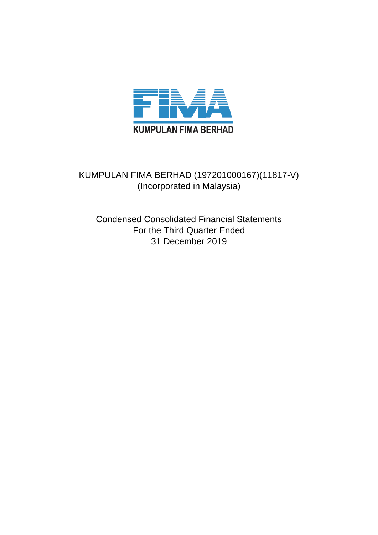

## KUMPULAN FIMA BERHAD (197201000167)(11817-V) (Incorporated in Malaysia)

Condensed Consolidated Financial Statements For the Third Quarter Ended 31 December 2019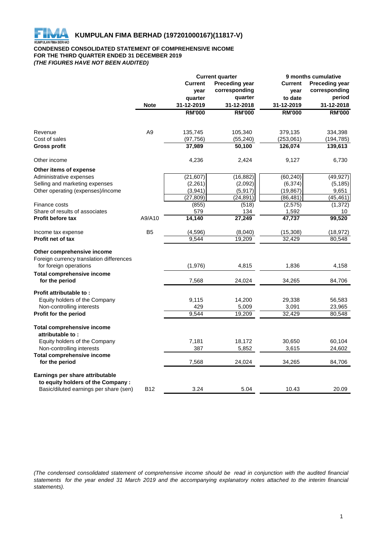

## **CONDENSED CONSOLIDATED STATEMENT OF COMPREHENSIVE INCOME FOR THE THIRD QUARTER ENDED 31 DECEMBER 2019** *(THE FIGURES HAVE NOT BEEN AUDITED)*

|                                                                |                | <b>Current quarter</b> |                       | 9 months cumulative |                       |  |
|----------------------------------------------------------------|----------------|------------------------|-----------------------|---------------------|-----------------------|--|
|                                                                |                | <b>Current</b>         | <b>Preceding year</b> | <b>Current</b>      | <b>Preceding year</b> |  |
|                                                                |                | year                   | corresponding         | year                | corresponding         |  |
|                                                                |                | quarter                | quarter               | to date             | period                |  |
|                                                                | <b>Note</b>    | 31-12-2019             | 31-12-2018            | 31-12-2019          | 31-12-2018            |  |
|                                                                |                | <b>RM'000</b>          | <b>RM'000</b>         | <b>RM'000</b>       | <b>RM'000</b>         |  |
|                                                                |                |                        |                       |                     |                       |  |
| Revenue                                                        | A <sub>9</sub> | 135,745                | 105,340               | 379,135             | 334,398               |  |
| Cost of sales                                                  |                | (97, 756)              | (55, 240)             | (253,061)           | (194, 785)            |  |
| <b>Gross profit</b>                                            |                | 37,989                 | 50,100                | 126,074             | 139,613               |  |
| Other income                                                   |                | 4,236                  | 2,424                 | 9,127               | 6,730                 |  |
| Other items of expense                                         |                |                        |                       |                     |                       |  |
| Administrative expenses                                        |                | (21, 607)              | (16, 882)             | (60, 240)           | (49, 927)             |  |
| Selling and marketing expenses                                 |                | (2, 261)               | (2,092)               | (6, 374)            | (5, 185)              |  |
| Other operating (expenses)/income                              |                | (3,941)                | (5, 917)              | (19, 867)           | 9,651                 |  |
|                                                                |                | (27, 809)              | (24, 891)             | (86, 481)           | (45,461)              |  |
| Finance costs                                                  |                | (855)                  | (518)                 | (2, 575)            | (1, 372)              |  |
| Share of results of associates                                 |                | 579                    | 134                   | 1,592               | 10                    |  |
| <b>Profit before tax</b>                                       | A9/A10         | 14,140                 | 27,249                | 47,737              | 99,520                |  |
| Income tax expense                                             | B <sub>5</sub> | (4,596)                | (8,040)               | (15, 308)           | (18, 972)             |  |
| <b>Profit net of tax</b>                                       |                | 9,544                  | 19,209                | 32,429              | 80,548                |  |
| Other comprehensive income                                     |                |                        |                       |                     |                       |  |
| Foreign currency translation differences                       |                |                        |                       |                     |                       |  |
| for foreign operations                                         |                | (1,976)                | 4,815                 | 1,836               | 4,158                 |  |
| <b>Total comprehensive income</b><br>for the period            |                | 7,568                  | 24,024                | 34,265              | 84,706                |  |
|                                                                |                |                        |                       |                     |                       |  |
| Profit attributable to:<br>Equity holders of the Company       |                | 9,115                  | 14,200                | 29,338              | 56,583                |  |
| Non-controlling interests                                      |                | 429                    | 5,009                 | 3,091               | 23,965                |  |
| Profit for the period                                          |                | 9,544                  | 19,209                | 32,429              | 80,548                |  |
|                                                                |                |                        |                       |                     |                       |  |
| <b>Total comprehensive income</b><br>attributable to:          |                |                        |                       |                     |                       |  |
| Equity holders of the Company                                  |                | 7,181                  | 18,172                | 30,650              | 60,104                |  |
|                                                                |                | 387                    | 5,852                 |                     |                       |  |
| Non-controlling interests<br><b>Total comprehensive income</b> |                |                        |                       | 3,615               | 24,602                |  |
| for the period                                                 |                | 7,568                  | 24,024                | 34,265              | 84,706                |  |
| Earnings per share attributable                                |                |                        |                       |                     |                       |  |
| to equity holders of the Company:                              |                |                        |                       |                     |                       |  |
| Basic/diluted earnings per share (sen)                         | <b>B12</b>     | 3.24                   | 5.04                  | 10.43               | 20.09                 |  |

(The condensed consolidated statement of comprehensive income should be read in conjunction with the audited financial statements for the year ended 31 March 2019 and the accompanying explanatory notes attached to the interim financial *statements).*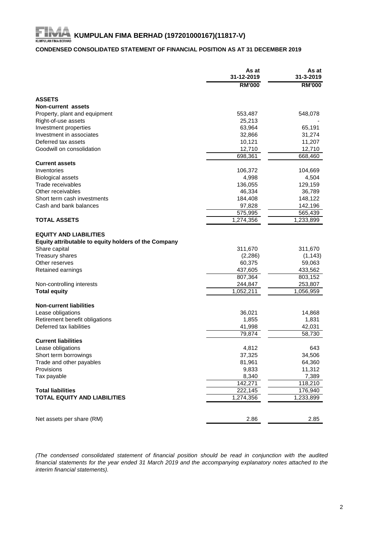## **CONDENSED CONSOLIDATED STATEMENT OF FINANCIAL POSITION AS AT 31 DECEMBER 2019**

|                                                                                       | As at<br>31-12-2019    | As at<br>31-3-2019 |
|---------------------------------------------------------------------------------------|------------------------|--------------------|
|                                                                                       | <b>RM'000</b>          | <b>RM'000</b>      |
| <b>ASSETS</b>                                                                         |                        |                    |
| Non-current assets                                                                    |                        |                    |
| Property, plant and equipment                                                         | 553,487                | 548,078            |
| Right-of-use assets                                                                   | 25,213                 |                    |
| Investment properties                                                                 | 63,964                 | 65,191             |
| Investment in associates                                                              | 32,866                 | 31,274             |
| Deferred tax assets                                                                   | 10,121                 | 11,207             |
| Goodwill on consolidation                                                             | 12,710                 | 12,710             |
|                                                                                       | 698,361                | 668,460            |
| <b>Current assets</b>                                                                 |                        |                    |
| Inventories                                                                           | 106,372                | 104,669            |
| <b>Biological assets</b>                                                              | 4,998                  | 4,504              |
| Trade receivables                                                                     | 136,055                | 129,159            |
| Other receivables                                                                     | 46,334                 | 36,789             |
| Short term cash investments                                                           | 184,408                | 148,122            |
| Cash and bank balances                                                                | 97,828                 | 142,196            |
|                                                                                       | 575,995                | 565,439            |
| TOTAL ASSETS                                                                          | 1,274,356              | 1,233,899          |
| <b>EQUITY AND LIABILITIES</b><br>Equity attributable to equity holders of the Company |                        |                    |
| Share capital                                                                         | 311,670                | 311,670            |
| <b>Treasury shares</b>                                                                | (2,286)                | (1, 143)           |
| Other reserves                                                                        | 60,375                 | 59,063             |
| Retained earnings                                                                     | 437,605                | 433,562            |
|                                                                                       | 807,364                | 803,152            |
| Non-controlling interests                                                             | 244,847                | 253,807            |
| <b>Total equity</b>                                                                   | $\overline{1,}052,211$ | 1,056,959          |
| <b>Non-current liabilities</b>                                                        |                        |                    |
| Lease obligations                                                                     | 36,021                 | 14,868             |
| Retirement benefit obligations                                                        | 1,855                  | 1,831              |
| Deferred tax liabilities                                                              | 41,998                 | 42,031             |
|                                                                                       | 79,874                 | 58,730             |
| <b>Current liabilities</b>                                                            |                        |                    |
| Lease obligations                                                                     | 4,812                  | 643                |
| Short term borrowings                                                                 | 37,325                 | 34,506             |
| Trade and other payables                                                              | 81,961                 | 64,360             |
| Provisions                                                                            | 9,833                  | 11,312             |
| Tax payable                                                                           | 8,340                  | 7,389              |
|                                                                                       | 142,271                | 118,210            |
| <b>Total liabilities</b>                                                              | 222,145                | 176,940            |
| <b>TOTAL EQUITY AND LIABILITIES</b>                                                   | 1,274,356              | 1,233,899          |
|                                                                                       |                        |                    |
| Net assets per share (RM)                                                             | 2.86                   | 2.85               |

*(The condensed consolidated statement of financial position should be read in conjunction with the audited* financial statements for the year ended 31 March 2019 and the accompanying explanatory notes attached to the *interim financial statements).*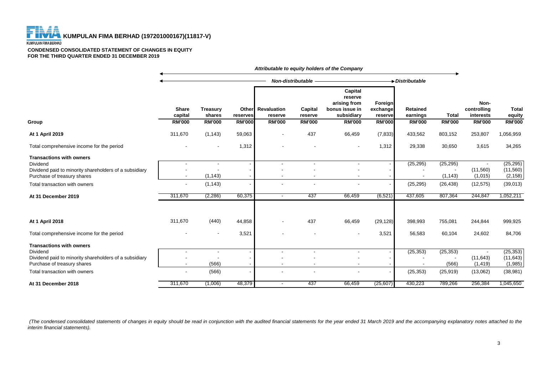**THE FILARE AND ADDRESS CONFULAN FIMA BERHAD (197201000167)(11817-V)** 

#### **CONDENSED CONSOLIDATED STATEMENT OF CHANGES IN EQUITY FOR THE THIRD QUARTER ENDED 31 DECEMBER 2019**

|                                                                                                                                      | Attributable to equity holders of the Company |                                            |                           |                                               |                                     |                                                                                     |                                                 |                                              |                               |                                                   |                                         |
|--------------------------------------------------------------------------------------------------------------------------------------|-----------------------------------------------|--------------------------------------------|---------------------------|-----------------------------------------------|-------------------------------------|-------------------------------------------------------------------------------------|-------------------------------------------------|----------------------------------------------|-------------------------------|---------------------------------------------------|-----------------------------------------|
|                                                                                                                                      |                                               |                                            |                           | Non-distributable                             |                                     | Distributable                                                                       |                                                 |                                              |                               |                                                   |                                         |
| Group                                                                                                                                | <b>Share</b><br>capital<br><b>RM'000</b>      | <b>Treasury</b><br>shares<br><b>RM'000</b> | reserves<br><b>RM'000</b> | Other Revaluation<br>reserve<br><b>RM'000</b> | Capital<br>reserve<br><b>RM'000</b> | Capital<br>reserve<br>arising from<br>bonus issue in<br>subsidiary<br><b>RM'000</b> | Foreign<br>exchange<br>reserve<br><b>RM'000</b> | <b>Retained</b><br>earnings<br><b>RM'000</b> | <b>Total</b><br><b>RM'000</b> | Non-<br>controlling<br>interests<br><b>RM'000</b> | <b>Total</b><br>equity<br><b>RM'000</b> |
|                                                                                                                                      |                                               |                                            |                           |                                               |                                     |                                                                                     |                                                 |                                              |                               |                                                   |                                         |
| At 1 April 2019                                                                                                                      | 311,670                                       | (1, 143)                                   | 59,063                    | $\overline{\phantom{a}}$                      | 437                                 | 66,459                                                                              | (7, 833)                                        | 433,562                                      | 803,152                       | 253,807                                           | 1,056,959                               |
| Total comprehensive income for the period                                                                                            |                                               | $\overline{\phantom{a}}$                   | 1,312                     |                                               |                                     |                                                                                     | 1,312                                           | 29,338                                       | 30,650                        | 3,615                                             | 34,265                                  |
| <b>Transactions with owners</b><br>Dividend<br>Dividend paid to minority shareholders of a subsidiary<br>Purchase of treasury shares |                                               | (1, 143)                                   |                           |                                               | $\blacksquare$                      |                                                                                     |                                                 | (25, 295)                                    | (25, 295)<br>(1, 143)         | (11,560)<br>(1,015)                               | (25, 295)<br>(11,560)<br>(2, 158)       |
| Total transaction with owners                                                                                                        |                                               | (1, 143)                                   |                           |                                               |                                     |                                                                                     |                                                 | (25, 295)                                    | (26, 438)                     | (12, 575)                                         | (39,013)                                |
| At 31 December 2019                                                                                                                  | 311,670                                       | (2, 286)                                   | 60,375                    | $\sim$                                        | 437                                 | 66,459                                                                              | (6, 521)                                        | 437,605                                      | 807,364                       | 244,847                                           | 1,052,211                               |
| At 1 April 2018                                                                                                                      | 311,670                                       | (440)                                      | 44,858                    |                                               | 437                                 | 66,459                                                                              | (29, 128)                                       | 398,993                                      | 755,081                       | 244,844                                           | 999,925                                 |
| Total comprehensive income for the period                                                                                            |                                               | $\overline{\phantom{a}}$                   | 3,521                     |                                               |                                     |                                                                                     | 3,521                                           | 56,583                                       | 60,104                        | 24,602                                            | 84,706                                  |
| <b>Transactions with owners</b>                                                                                                      |                                               |                                            |                           |                                               |                                     |                                                                                     |                                                 |                                              |                               |                                                   |                                         |
| Dividend<br>Dividend paid to minority shareholders of a subsidiary                                                                   |                                               | $\blacksquare$                             |                           |                                               |                                     | $\sim$                                                                              |                                                 | (25, 353)                                    | (25, 353)                     | (11, 643)                                         | (25, 353)<br>(11, 643)                  |
| Purchase of treasury shares                                                                                                          |                                               | (566)                                      |                           |                                               |                                     |                                                                                     |                                                 |                                              | (566)                         | (1, 419)                                          | (1,985)                                 |
| Total transaction with owners                                                                                                        |                                               | (566)                                      |                           |                                               |                                     |                                                                                     |                                                 | (25, 353)                                    | (25, 919)                     | (13,062)                                          | (38, 981)                               |
| At 31 December 2018                                                                                                                  | 311,670                                       | (1,006)                                    | 48,379                    | $\sim$                                        | 437                                 | 66,459                                                                              | (25, 607)                                       | 430,223                                      | 789,266                       | 256,384                                           | 1,045,650                               |

(The condensed consolidated statements of changes in equity should be read in conjunction with the audited financial statements for the year ended 31 March 2019 and the accompanying explanatory notes attached to the *interim financial statements).*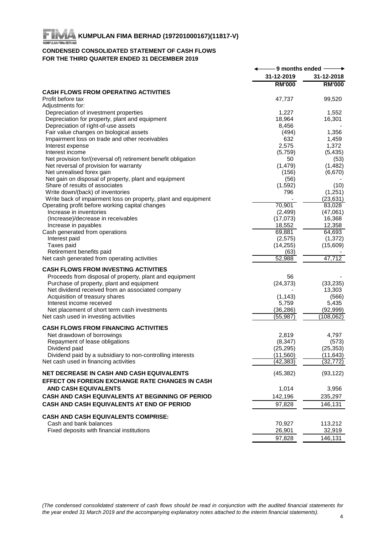## **CONDENSED CONSOLIDATED STATEMENT OF CASH FLOWS FOR THE THIRD QUARTER ENDED 31 DECEMBER 2019**

|                                                                | -9 months ended $\,-$ |               |
|----------------------------------------------------------------|-----------------------|---------------|
|                                                                | 31-12-2019            | 31-12-2018    |
|                                                                | <b>RM'000</b>         | <b>RM'000</b> |
| <b>CASH FLOWS FROM OPERATING ACTIVITIES</b>                    |                       |               |
| Profit before tax<br>Adjustments for:                          | 47,737                | 99,520        |
| Depreciation of investment properties                          | 1,227                 | 1,552         |
| Depreciation for property, plant and equipment                 | 18,964                | 16,301        |
| Depreciation of right-of-use assets                            | 8,456                 |               |
| Fair value changes on biological assets                        | (494)                 | 1,356         |
| Impairment loss on trade and other receivables                 | 632                   | 1,459         |
| Interest expense                                               | 2,575                 | 1,372         |
| Interest income                                                | (5,759)               | (5, 435)      |
| Net provision for/(reversal of) retirement benefit obligation  | 50                    | (53)          |
| Net reversal of provision for warranty                         | (1, 479)              | (1,482)       |
| Net unrealised forex gain                                      | (156)                 | (6,670)       |
| Net gain on disposal of property, plant and equipment          | (56)                  |               |
| Share of results of associates                                 | (1,592)               | (10)          |
| Write down/(back) of inventories                               | 796                   | (1,251)       |
| Write back of impairment loss on property, plant and equipment |                       | (23, 631)     |
| Operating profit before working capital changes                | 70,901                | 83,028        |
| Increase in inventories                                        | (2, 499)              | (47,061)      |
| (Increase)/decrease in receivables                             | (17,073)              | 16,368        |
| Increase in payables                                           | 18,552                | 12,358        |
| Cash generated from operations                                 | 69,881                | 64,693        |
| Interest paid                                                  | (2, 575)              | (1, 372)      |
| Taxes paid                                                     | (14, 255)             | (15,609)      |
| Retirement benefits paid                                       | (63)                  |               |
| Net cash generated from operating activities                   | 52,988                | 47,712        |
| <b>CASH FLOWS FROM INVESTING ACTIVITIES</b>                    |                       |               |
| Proceeds from disposal of property, plant and equipment        | 56                    |               |
| Purchase of property, plant and equipment                      | (24, 373)             | (33, 235)     |
| Net dividend received from an associated company               |                       | 13,303        |
| Acquisition of treasury shares                                 | (1, 143)              | (566)         |
| Interest income received                                       | 5,759                 | 5,435         |
| Net placement of short term cash investments                   | (36, 286)             | (92, 999)     |
| Net cash used in investing activities                          | (55,987)              | (108, 062)    |
| <b>CASH FLOWS FROM FINANCING ACTIVITIES</b>                    |                       |               |
| Net drawdown of borrowings                                     | 2,819                 | 4,797         |
| Repayment of lease obligations                                 | (8, 347)              | (573)         |
| Dividend paid                                                  | (25, 295)             | (25, 353)     |
| Dividend paid by a subsidiary to non-controlling interests     | (11,560)              | (11, 643)     |
| Net cash used in financing activities                          | (42, 383)             | (32, 772)     |
|                                                                |                       |               |
| <b>NET DECREASE IN CASH AND CASH EQUIVALENTS</b>               | (45, 382)             | (93, 122)     |
| EFFECT ON FOREIGN EXCHANGE RATE CHANGES IN CASH                |                       |               |
| <b>AND CASH EQUIVALENTS</b>                                    | 1,014                 | 3,956         |
| CASH AND CASH EQUIVALENTS AT BEGINNING OF PERIOD               | 142,196               | 235,297       |
| CASH AND CASH EQUIVALENTS AT END OF PERIOD                     | 97,828                | 146,131       |
| <b>CASH AND CASH EQUIVALENTS COMPRISE:</b>                     |                       |               |
| Cash and bank balances                                         | 70,927                | 113.212       |
| Fixed deposits with financial institutions                     | 26,901                | 32,919        |
|                                                                | 97,828                | 146,131       |
|                                                                |                       |               |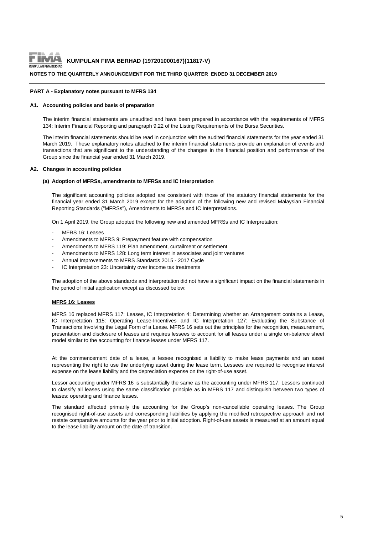

## **NOTES TO THE QUARTERLY ANNOUNCEMENT FOR THE THIRD QUARTER ENDED 31 DECEMBER 2019**

#### **PART A - Explanatory notes pursuant to MFRS 134**

#### **A1. Accounting policies and basis of preparation**

The interim financial statements are unaudited and have been prepared in accordance with the requirements of MFRS 134: Interim Financial Reporting and paragraph 9.22 of the Listing Requirements of the Bursa Securities.

The interim financial statements should be read in conjunction with the audited financial statements for the year ended 31 March 2019. These explanatory notes attached to the interim financial statements provide an explanation of events and transactions that are significant to the understanding of the changes in the financial position and performance of the Group since the financial year ended 31 March 2019.

#### **A2. Changes in accounting policies**

#### **(a) Adoption of MFRSs, amendments to MFRSs and IC Interpretation**

The significant accounting policies adopted are consistent with those of the statutory financial statements for the financial year ended 31 March 2019 except for the adoption of the following new and revised Malaysian Financial Reporting Standards ("MFRSs"), Amendments to MFRSs and IC Interpretations.

On 1 April 2019, the Group adopted the following new and amended MFRSs and IC Interpretation:

- MERS 16: Leases
- Amendments to MFRS 9: Prepayment feature with compensation
- Amendments to MFRS 119: Plan amendment, curtailment or settlement
- Amendments to MFRS 128: Long term interest in associates and joint ventures
- Annual Improvements to MFRS Standards 2015 2017 Cycle
- IC Interpretation 23: Uncertainty over income tax treatments

The adoption of the above standards and interpretation did not have a significant impact on the financial statements in the period of initial application except as discussed below:

#### **MFRS 16: Leases**

MFRS 16 replaced MFRS 117: Leases, IC Interpretation 4: Determining whether an Arrangement contains a Lease, IC Interpretation 115: Operating Lease-Incentives and IC Interpretation 127: Evaluating the Substance of Transactions Involving the Legal Form of a Lease. MFRS 16 sets out the principles for the recognition, measurement, presentation and disclosure of leases and requires lessees to account for all leases under a single on-balance sheet model similar to the accounting for finance leases under MFRS 117.

At the commencement date of a lease, a lessee recognised a liability to make lease payments and an asset representing the right to use the underlying asset during the lease term. Lessees are required to recognise interest expense on the lease liability and the depreciation expense on the right-of-use asset.

Lessor accounting under MFRS 16 is substantially the same as the accounting under MFRS 117. Lessors continued to classify all leases using the same classification principle as in MFRS 117 and distinguish between two types of leases: operating and finance leases.

The standard affected primarily the accounting for the Group's non-cancellable operating leases. The Group recognised right-of-use assets and corresponding liabilities by applying the modified retrospective approach and not restate comparative amounts for the year prior to initial adoption. Right-of-use assets is measured at an amount equal to the lease liability amount on the date of transition.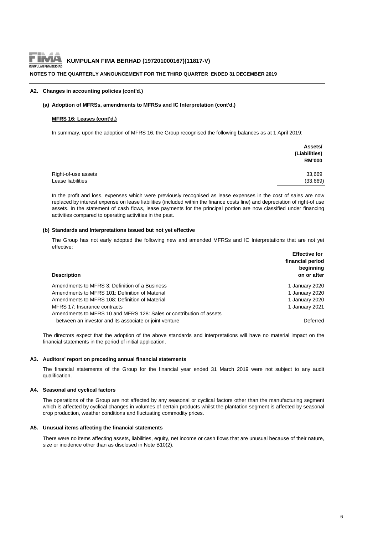

#### **NOTES TO THE QUARTERLY ANNOUNCEMENT FOR THE THIRD QUARTER ENDED 31 DECEMBER 2019**

#### **A2. Changes in accounting policies (cont'd.)**

#### **(a) Adoption of MFRSs, amendments to MFRSs and IC Interpretation (cont'd.)**

#### **MFRS 16: Leases (cont'd.)**

In summary, upon the adoption of MFRS 16, the Group recognised the following balances as at 1 April 2019:

|                     | Assets/<br>(Liabilities)<br><b>RM'000</b> |
|---------------------|-------------------------------------------|
| Right-of-use assets | 33,669                                    |
| Lease liabilities   | (33,669)                                  |

In the profit and loss, expenses which were previously recognised as lease expenses in the cost of sales are now replaced by interest expense on lease liabilities (included within the finance costs line) and depreciation of right-of use assets. In the statement of cash flows, lease payments for the principal portion are now classified under financing activities compared to operating activities in the past.

#### **(b) Standards and Interpretations issued but not yet effective**

The Group has not early adopted the following new and amended MFRSs and IC Interpretations that are not yet effective:

| <b>Description</b>                                                  | <b>Effective for</b><br>financial period<br>beginning<br>on or after |
|---------------------------------------------------------------------|----------------------------------------------------------------------|
| Amendments to MFRS 3: Definition of a Business                      | 1 January 2020                                                       |
| Amendments to MFRS 101: Definition of Material                      | 1 January 2020                                                       |
| Amendments to MFRS 108: Definition of Material                      | 1 January 2020                                                       |
| MFRS 17: Insurance contracts                                        | 1 January 2021                                                       |
| Amendments to MFRS 10 and MFRS 128: Sales or contribution of assets |                                                                      |
| between an investor and its associate or joint venture              | Deferred                                                             |

The directors expect that the adoption of the above standards and interpretations will have no material impact on the financial statements in the period of initial application.

#### **A3. Auditors' report on preceding annual financial statements**

The financial statements of the Group for the financial year ended 31 March 2019 were not subject to any audit qualification.

#### **A4. Seasonal and cyclical factors**

The operations of the Group are not affected by any seasonal or cyclical factors other than the manufacturing segment which is affected by cyclical changes in volumes of certain products whilst the plantation segment is affected by seasonal crop production, weather conditions and fluctuating commodity prices.

#### **A5. Unusual items affecting the financial statements**

There were no items affecting assets, liabilities, equity, net income or cash flows that are unusual because of their nature, size or incidence other than as disclosed in Note B10(2).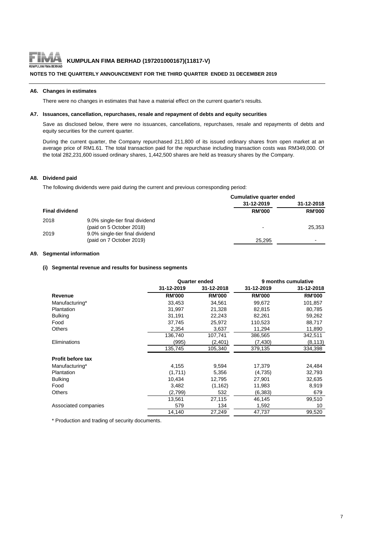

## **KUMPULAN FIMA BERHAD (197201000167)(11817-V)**<br>JLAN FIMA BERHAD

## **NOTES TO THE QUARTERLY ANNOUNCEMENT FOR THE THIRD QUARTER ENDED 31 DECEMBER 2019**

#### **A6. Changes in estimates**

There were no changes in estimates that have a material effect on the current quarter's results.

#### **A7. Issuances, cancellation, repurchases, resale and repayment of debts and equity securities**

Save as disclosed below, there were no issuances, cancellations, repurchases, resale and repayments of debts and equity securities for the current quarter.

During the current quarter, the Company repurchased 211,800 of its issued ordinary shares from open market at an average price of RM1.61. The total transaction paid for the repurchase including transaction costs was RM349,000. Of the total 282,231,600 issued ordinary shares, 1,442,500 shares are held as treasury shares by the Company.

## **A8. Dividend paid**

The following dividends were paid during the current and previous corresponding period:

|                       |                                                             | Cumulative quarter ended |               |
|-----------------------|-------------------------------------------------------------|--------------------------|---------------|
|                       |                                                             | 31-12-2019               | 31-12-2018    |
| <b>Final dividend</b> |                                                             | <b>RM'000</b>            | <b>RM'000</b> |
| 2018                  | 9.0% single-tier final dividend<br>(paid on 5 October 2018) | -                        | 25,353        |
| 2019                  | 9.0% single-tier final dividend<br>(paid on 7 October 2019) | 25.295                   |               |

## **A9. Segmental information**

### **(i) Segmental revenue and results for business segments**

|                          |               | <b>Quarter ended</b> | 9 months cumulative |               |  |
|--------------------------|---------------|----------------------|---------------------|---------------|--|
|                          | 31-12-2019    | 31-12-2018           | 31-12-2019          | 31-12-2018    |  |
| Revenue                  | <b>RM'000</b> | <b>RM'000</b>        | <b>RM'000</b>       | <b>RM'000</b> |  |
| Manufacturing*           | 33,453        | 34,561               | 99,672              | 101,857       |  |
| <b>Plantation</b>        | 31,997        | 21,328               | 82,815              | 80,785        |  |
| <b>Bulking</b>           | 31,191        | 22,243               | 82,261              | 59,262        |  |
| Food                     | 37,745        | 25,972               | 110,523             | 88,717        |  |
| <b>Others</b>            | 2,354         | 3,637                | 11,294              | 11,890        |  |
|                          | 136,740       | 107.741              | 386,565             | 342,511       |  |
| Eliminations             | (995)         | (2,401)              | (7, 430)            | (8, 113)      |  |
|                          | 135,745       | 105,340              | 379,135             | 334,398       |  |
| <b>Profit before tax</b> |               |                      |                     |               |  |
| Manufacturing*           | 4,155         | 9,594                | 17,379              | 24,484        |  |
| <b>Plantation</b>        | (1,711)       | 5,356                | (4,735)             | 32,793        |  |
| <b>Bulking</b>           | 10,434        | 12,795               | 27,901              | 32,635        |  |
| Food                     | 3,482         | (1, 162)             | 11,983              | 8,919         |  |
| <b>Others</b>            | (2,799)       | 532                  | (6, 383)            | 679           |  |
|                          | 13,561        | 27,115               | 46,145              | 99,510        |  |
| Associated companies     | 579           | 134                  | 1,592               | 10            |  |
|                          | 14,140        | 27,249               | 47,737              | 99,520        |  |

\* Production and trading of security documents.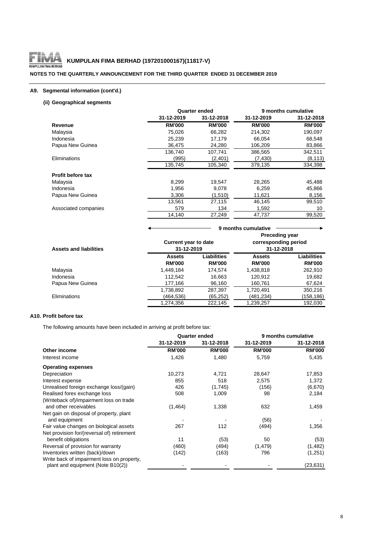

## **NOTES TO THE QUARTERLY ANNOUNCEMENT FOR THE THIRD QUARTER ENDED 31 DECEMBER 2019**

## **A9. Segmental information (cont'd.)**

## **(ii) Geographical segments**

|                      |               | <b>Quarter ended</b> | 9 months cumulative |               |
|----------------------|---------------|----------------------|---------------------|---------------|
|                      | 31-12-2019    | 31-12-2018           | 31-12-2019          | 31-12-2018    |
| Revenue              | <b>RM'000</b> | <b>RM'000</b>        | <b>RM'000</b>       | <b>RM'000</b> |
| Malaysia             | 75.026        | 66.282               | 214.302             | 190.097       |
| Indonesia            | 25,239        | 17.179               | 66,054              | 68,548        |
| Papua New Guinea     | 36,475        | 24,280               | 106,209             | 83,866        |
|                      | 136,740       | 107,741              | 386,565             | 342,511       |
| Eliminations         | (995)         | (2,401)              | (7, 430)            | (8, 113)      |
|                      | 135,745       | 105,340              | 379,135             | 334,398       |
| Profit before tax    |               |                      |                     |               |
| Malaysia             | 8,299         | 19,547               | 28,265              | 45,488        |
| Indonesia            | 1,956         | 9,078                | 6,259               | 45,866        |
| Papua New Guinea     | 3,306         | (1,510)              | 11,621              | 8,156         |
|                      | 13.561        | 27.115               | 46,145              | 99,510        |
| Associated companies | 579           | 134                  | 1,592               | 10            |
|                      | 14.140        | 27.249               | 47,737              | 99.520        |

| <b>Assets and liabilities</b> | <b>Current year to date</b><br>31-12-2019 |                              | <b>Preceding year</b><br>corresponding period<br>31-12-2018 |                              |  |
|-------------------------------|-------------------------------------------|------------------------------|-------------------------------------------------------------|------------------------------|--|
|                               | <b>Assets</b><br><b>RM'000</b>            | Liabilities<br><b>RM'000</b> | <b>Assets</b><br><b>RM'000</b>                              | Liabilities<br><b>RM'000</b> |  |
| Malaysia                      | 1.449.184                                 | 174.574                      | 1,438,818                                                   | 262,910                      |  |
| Indonesia                     | 112.542                                   | 16,663                       | 120.912                                                     | 19,682                       |  |
| Papua New Guinea              | 177,166                                   | 96,160                       | 160,761                                                     | 67,624                       |  |
|                               | 1,738,892                                 | 287,397                      | 1,720,491                                                   | 350,216                      |  |
| Eliminations                  | (464,536)                                 | (65, 252)                    | (481,234)                                                   | (158,186)                    |  |
|                               | 1.274.356                                 | 222.145                      | 1.239.257                                                   | 192.030                      |  |

 **9 months cumulative**

## **A10. Profit before tax**

The following amounts have been included in arriving at profit before tax:

|                                            | <b>Quarter ended</b> |               | 9 months cumulative |               |  |
|--------------------------------------------|----------------------|---------------|---------------------|---------------|--|
|                                            | 31-12-2019           | 31-12-2018    | 31-12-2019          | 31-12-2018    |  |
| Other income                               | <b>RM'000</b>        | <b>RM'000</b> | <b>RM'000</b>       | <b>RM'000</b> |  |
| Interest income                            | 1,426                | 1,480         | 5,759               | 5,435         |  |
| <b>Operating expenses</b>                  |                      |               |                     |               |  |
| Depreciation                               | 10,273               | 4,721         | 28,647              | 17,853        |  |
| Interest expense                           | 855                  | 518           | 2,575               | 1,372         |  |
| Unrealised foreign exchange loss/(gain)    | 426                  | (1,745)       | (156)               | (6,670)       |  |
| Realised forex exchange loss               | 508                  | 1,009         | 98                  | 2,184         |  |
| (Writeback of)/impairment loss on trade    |                      |               |                     |               |  |
| and other receivables                      | (1,464)              | 1,338         | 632                 | 1,459         |  |
| Net gain on disposal of property, plant    |                      |               |                     |               |  |
| and equipment                              |                      |               | (56)                |               |  |
| Fair value changes on biological assets    | 267                  | 112           | (494)               | 1,356         |  |
| Net provision for/(reversal of) retirement |                      |               |                     |               |  |
| benefit obligations                        | 11                   | (53)          | 50                  | (53)          |  |
| Reversal of provision for warranty         | (460)                | (494)         | (1, 479)            | (1, 482)      |  |
| Inventories written (back)/down            | (142)                | (163)         | 796                 | (1,251)       |  |
| Write back of impairment loss on property, |                      |               |                     |               |  |
| plant and equipment (Note B10(2))          |                      |               |                     | (23, 631)     |  |
|                                            |                      |               |                     |               |  |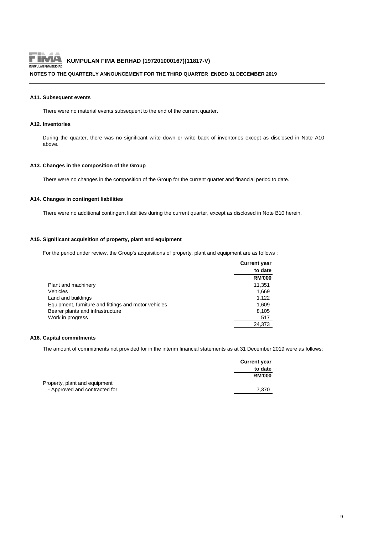

## **KUMPULAN FIMA BERHAD (197201000167)(11817-V)**<br>LAN FIMA BERHAD

## **NOTES TO THE QUARTERLY ANNOUNCEMENT FOR THE THIRD QUARTER ENDED 31 DECEMBER 2019**

#### **A11. Subsequent events**

There were no material events subsequent to the end of the current quarter.

#### **A12. Inventories**

During the quarter, there was no significant write down or write back of inventories except as disclosed in Note A10 above.

#### **A13. Changes in the composition of the Group**

There were no changes in the composition of the Group for the current quarter and financial period to date.

## **A14. Changes in contingent liabilities**

There were no additional contingent liabilities during the current quarter, except as disclosed in Note B10 herein.

## **A15. Significant acquisition of property, plant and equipment**

For the period under review, the Group's acquisitions of property, plant and equipment are as follows :

|                                                      | <b>Current year</b> |
|------------------------------------------------------|---------------------|
|                                                      | to date             |
|                                                      | <b>RM'000</b>       |
| Plant and machinery                                  | 11,351              |
| Vehicles                                             | 1,669               |
| Land and buildings                                   | 1.122               |
| Equipment, furniture and fittings and motor vehicles | 1,609               |
| Bearer plants and infrastructure                     | 8,105               |
| Work in progress                                     | 517                 |
|                                                      | 24.373              |

## **A16. Capital commitments**

The amount of commitments not provided for in the interim financial statements as at 31 December 2019 were as follows:

|                               | <b>Current year</b> |
|-------------------------------|---------------------|
|                               | to date             |
|                               | <b>RM'000</b>       |
| Property, plant and equipment |                     |
| - Approved and contracted for | 7.370               |
|                               |                     |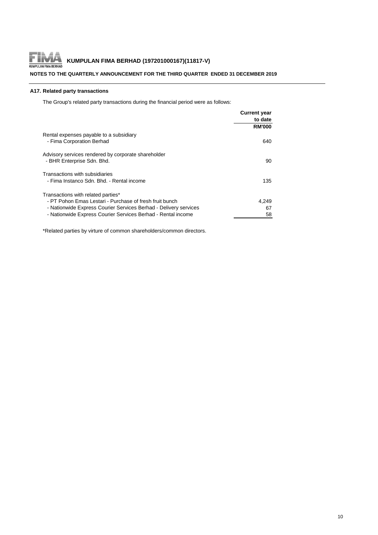

## **A17. Related party transactions**

The Group's related party transactions during the financial period were as follows:

|                                                                                   | <b>Current year</b> |
|-----------------------------------------------------------------------------------|---------------------|
|                                                                                   | to date             |
|                                                                                   | <b>RM'000</b>       |
| Rental expenses payable to a subsidiary<br>- Fima Corporation Berhad              | 640                 |
| Advisory services rendered by corporate shareholder<br>- BHR Enterprise Sdn. Bhd. | 90                  |
| Transactions with subsidiaries                                                    |                     |
| - Fima Instanco Sdn. Bhd. - Rental income                                         | 135                 |
| Transactions with related parties*                                                |                     |
| - PT Pohon Emas Lestari - Purchase of fresh fruit bunch                           | 4,249               |
| - Nationwide Express Courier Services Berhad - Delivery services                  | 67                  |
| - Nationwide Express Courier Services Berhad - Rental income                      | 58                  |

\*Related parties by virture of common shareholders/common directors.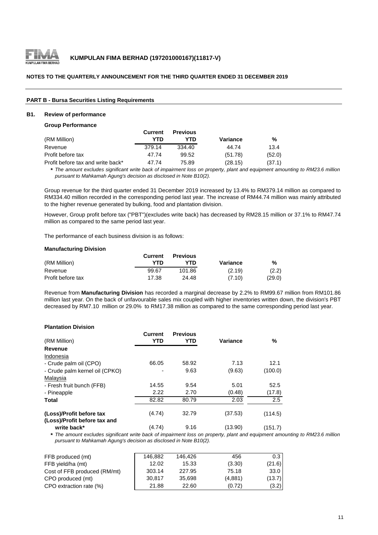

#### **NOTES TO THE QUARTERLY ANNOUNCEMENT FOR THE THIRD QUARTER ENDED 31 DECEMBER 2019**

## **PART B - Bursa Securities Listing Requirements**

## **B1. Review of performance**

#### **Group Performance**

|                                   | Current | <b>Previous</b> |          |        |
|-----------------------------------|---------|-----------------|----------|--------|
| (RM Million)                      | YTD     | YTD             | Variance | %      |
| Revenue                           | 379.14  | 334.40          | 44.74    | 13.4   |
| Profit before tax                 | 47.74   | 99.52           | (51.78)  | (52.0) |
| Profit before tax and write back* | 47.74   | 75.89           | (28.15)  | (37.1) |

\* The amount excludes significant write back of impairment loss on property, plant and equipment amounting to RM23.6 million *pursuant to Mahkamah Agung's decision as disclosed in Note B10(2).*

Group revenue for the third quarter ended 31 December 2019 increased by 13.4% to RM379.14 million as compared to RM334.40 million recorded in the corresponding period last year. The increase of RM44.74 million was mainly attributed to the higher revenue generated by bulking, food and plantation division.

However, Group profit before tax ("PBT")(excludes write back) has decreased by RM28.15 million or 37.1% to RM47.74 million as compared to the same period last year.

The performance of each business division is as follows:

#### **Manufacturing Division**

|                   | <b>Current</b> | <b>Previous</b> |          |        |
|-------------------|----------------|-----------------|----------|--------|
| (RM Million)      | YTD            | YTD             | Variance | %      |
| Revenue           | 99.67          | 101.86          | (2.19)   | (2.2)  |
| Profit before tax | 17.38          | 24.48           | (7.10)   | (29.0) |

Revenue from **Manufacturing Division** has recorded a marginal decrease by 2.2% to RM99.67 million from RM101.86 million last year. On the back of unfavourable sales mix coupled with higher inventories written down, the division's PBT decreased by RM7.10 million or 29.0% to RM17.38 million as compared to the same corresponding period last year.

#### **Plantation Division**

| (RM Million)                                                                                         | <b>Current</b><br>YTD | <b>Previous</b><br>YTD | Variance | %       |
|------------------------------------------------------------------------------------------------------|-----------------------|------------------------|----------|---------|
| Revenue                                                                                              |                       |                        |          |         |
| Indonesia                                                                                            |                       |                        |          |         |
| - Crude palm oil (CPO)                                                                               | 66.05                 | 58.92                  | 7.13     | 12.1    |
| - Crude palm kernel oil (CPKO)                                                                       |                       | 9.63                   | (9.63)   | (100.0) |
| Malaysia                                                                                             |                       |                        |          |         |
| - Fresh fruit bunch (FFB)                                                                            | 14.55                 | 9.54                   | 5.01     | 52.5    |
| - Pineapple                                                                                          | 2.22                  | 2.70                   | (0.48)   | (17.8)  |
| Total                                                                                                | 82.82                 | 80.79                  | 2.03     | 2.5     |
| (Loss)/Profit before tax                                                                             | (4.74)                | 32.79                  | (37.53)  | (114.5) |
| (Loss)/Profit before tax and                                                                         |                       |                        |          |         |
| write back*                                                                                          | (4.74)                | 9.16                   | (13.90)  | (151.7) |
| * The amount qualides simplicant with book of impointment less an proporty, plant and ominimant appr |                       |                        |          |         |

**\*** The amount excludes significant write back of impairment loss on property, plant and equipment amounting to RM23.6 million *pursuant to Mahkamah Agung's decision as disclosed in Note B10(2).*

| FFB produced (mt)            | 146.882 | 146.426 | 456     | 0.3    |
|------------------------------|---------|---------|---------|--------|
| FFB yield/ha (mt)            | 12.02   | 15.33   | (3.30)  | (21.6) |
| Cost of FFB produced (RM/mt) | 303.14  | 227.95  | 75.18   | 33.0   |
| CPO produced (mt)            | 30.817  | 35.698  | (4,881) | (13.7) |
| CPO extraction rate (%)      | 21.88   | 22.60   | (0.72)  | (3.2)  |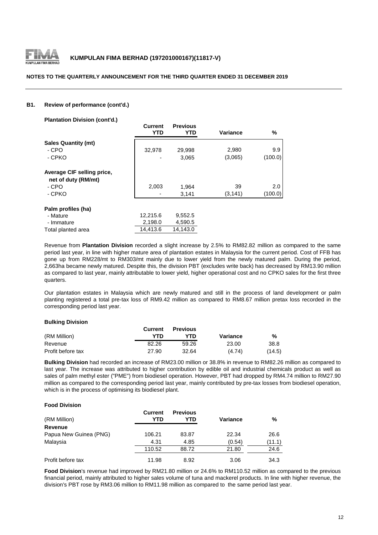

#### **B1. Review of performance (cont'd.)**

| <b>Plantation Division (cont'd.)</b>              |                              |                         |          |         |
|---------------------------------------------------|------------------------------|-------------------------|----------|---------|
|                                                   | <b>Current</b><br><b>YTD</b> | <b>Previous</b><br>YTD. | Variance | %       |
| <b>Sales Quantity (mt)</b>                        |                              |                         |          |         |
| - CPO                                             | 32,978                       | 29,998                  | 2,980    | 9.9     |
| - CPKO                                            |                              | 3,065                   | (3,065)  | (100.0) |
| Average CIF selling price,<br>net of duty (RM/mt) |                              |                         |          |         |
| - CPO                                             | 2,003                        | 1,964                   | 39       | 2.0     |
| - CPKO                                            |                              | 3,141                   | (3, 141) | (100.0) |
| Palm profiles (ha)                                |                              |                         |          |         |
| - Mature                                          | 12,215.6                     | 9,552.5                 |          |         |
| - Immature                                        | 2,198.0                      | 4,590.5                 |          |         |
| Total planted area                                | 14.413.6                     | 14,143.0                |          |         |

Revenue from **Plantation Division** recorded a slight increase by 2.5% to RM82.82 million as compared to the same period last year, in line with higher mature area of plantation estates in Malaysia for the current period. Cost of FFB has gone up from RM228/mt to RM303/mt mainly due to lower yield from the newly matured palm. During the period, 2,663ha became newly matured. Despite this, the division PBT (excludes write back) has decreased by RM13.90 million as compared to last year, mainly attributable to lower yield, higher operational cost and no CPKO sales for the first three quarters.

Our plantation estates in Malaysia which are newly matured and still in the process of land development or palm planting registered a total pre-tax loss of RM9.42 million as compared to RM8.67 million pretax loss recorded in the corresponding period last year.

#### **Bulking Division**

|                   | <b>Current</b> | <b>Previous</b> |          |        |
|-------------------|----------------|-----------------|----------|--------|
| (RM Million)      | YTN            | YTN             | Variance | %      |
| Revenue           | 82.26          | 59.26           | 23.00    | 38.8   |
| Profit before tax | 27.90          | 32.64           | (4.74)   | (14.5) |

**Bulking Division** had recorded an increase of RM23.00 million or 38.8% in revenue to RM82.26 million as compared to last year. The increase was attributed to higher contribution by edible oil and industrial chemicals product as well as sales of palm methyl ester ("PME") from biodiesel operation. However, PBT had dropped by RM4.74 million to RM27.90 million as compared to the corresponding period last year, mainly contributed by pre-tax losses from biodiesel operation, which is in the process of optimising its biodiesel plant.

#### **Food Division**

| (RM Million)           | <b>Current</b><br>YTD | <b>Previous</b><br>YTD | Variance | %      |
|------------------------|-----------------------|------------------------|----------|--------|
| Revenue                |                       |                        |          |        |
| Papua New Guinea (PNG) | 106.21                | 83.87                  | 22.34    | 26.6   |
| Malaysia               | 4.31                  | 4.85                   | (0.54)   | (11.1) |
|                        | 110.52                | 88.72                  | 21.80    | 24.6   |
| Profit before tax      | 11.98                 | 8.92                   | 3.06     | 34.3   |

**Food Division**'s revenue had improved by RM21.80 million or 24.6% to RM110.52 million as compared to the previous financial period, mainly attributed to higher sales volume of tuna and mackerel products. In line with higher revenue, the division's PBT rose by RM3.06 million to RM11.98 million as compared to the same period last year.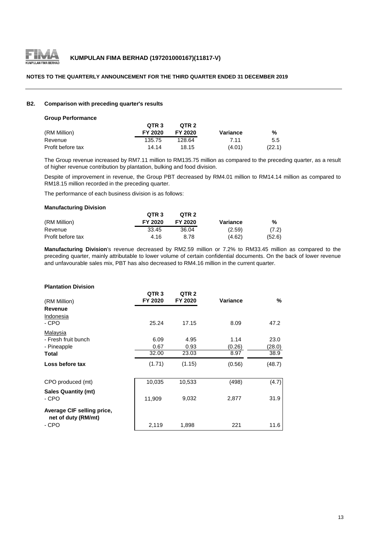

## **NOTES TO THE QUARTERLY ANNOUNCEMENT FOR THE THIRD QUARTER ENDED 31 DECEMBER 2019**

## **B2. Comparison with preceding quarter's results**

#### **Group Performance**

|                   | QTR <sub>3</sub> | OTR <sub>2</sub> |          |        |
|-------------------|------------------|------------------|----------|--------|
| (RM Million)      | FY 2020          | FY 2020          | Variance | %      |
| Revenue           | 135.75           | 128.64           | 7.11     | 5.5    |
| Profit before tax | 14.14            | 18.15            | (4.01)   | (22.1) |

The Group revenue increased by RM7.11 million to RM135.75 million as compared to the preceding quarter, as a result of higher revenue contribution by plantation, bulking and food division.

Despite of improvement in revenue, the Group PBT decreased by RM4.01 million to RM14.14 million as compared to RM18.15 million recorded in the preceding quarter.

The performance of each business division is as follows:

#### **Manufacturing Division**

|                   | QTR <sub>3</sub> | OTR <sub>2</sub> |          |        |
|-------------------|------------------|------------------|----------|--------|
| (RM Million)      | FY 2020          | FY 2020          | Variance | %      |
| Revenue           | 33.45            | 36.04            | (2.59)   | (7.2)  |
| Profit before tax | 4.16             | 8.78             | (4.62)   | (52.6) |

**Manufacturing Division**'s revenue decreased by RM2.59 million or 7.2% to RM33.45 million as compared to the preceding quarter, mainly attributable to lower volume of certain confidential documents. On the back of lower revenue and unfavourable sales mix, PBT has also decreased to RM4.16 million in the current quarter.

#### **Plantation Division**

| QTR <sub>3</sub><br>FY 2020 | QTR <sub>2</sub><br>FY 2020 | Variance               | %                      |
|-----------------------------|-----------------------------|------------------------|------------------------|
|                             |                             |                        |                        |
| 25.24                       | 17.15                       | 8.09                   | 47.2                   |
| 6.09<br>0.67<br>32.00       | 4.95<br>0.93<br>23.03       | 1.14<br>(0.26)<br>8.97 | 23.0<br>(28.0)<br>38.9 |
| (1.71)                      | (1.15)                      | (0.56)                 | (48.7)                 |
| 10,035                      | 10,533                      | (498)                  | (4.7)                  |
| 11,909                      | 9,032                       | 2,877                  | 31.9                   |
| 2,119                       | 1,898                       | 221                    | 11.6                   |
|                             |                             |                        |                        |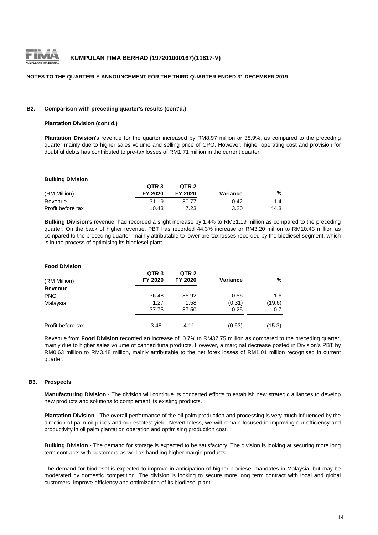

#### **B2. Comparison with preceding quarter's results (cont'd.)**

#### **Plantation Division (cont'd.)**

**Plantation Division**'s revenue for the quarter increased by RM8.97 million or 38.9%, as compared to the preceding quarter mainly due to higher sales volume and selling price of CPO. However, higher operating cost and provision for doubtful debts has contributed to pre-tax losses of RM1.71 million in the current quarter.

#### **Bulking Division**

|                   | QTR <sub>3</sub> | QTR <sub>2</sub> |          |      |
|-------------------|------------------|------------------|----------|------|
| (RM Million)      | FY 2020          | FY 2020          | Variance | %    |
| Revenue           | 31.19            | 30.77            | 0.42     | 1.4  |
| Profit before tax | 10.43            | 7.23             | 3.20     | 44.3 |

**Bulking Division**'s revenue had recorded a slight increase by 1.4% to RM31.19 million as compared to the preceding quarter. On the back of higher revenue, PBT has recorded 44.3% increase or RM3.20 million to RM10.43 million as compared to the preceding quarter, mainly attributable to lower pre-tax losses recorded by the biodiesel segment, which is in the process of optimising its biodiesel plant.

#### **Food Division**

| (RM Million)      | QTR <sub>3</sub><br>FY 2020 | QTR <sub>2</sub><br>FY 2020 | <b>Variance</b> | ℅      |
|-------------------|-----------------------------|-----------------------------|-----------------|--------|
| <b>Revenue</b>    |                             |                             |                 |        |
| <b>PNG</b>        | 36.48                       | 35.92                       | 0.56            | 1.6    |
| Malaysia          | 1.27                        | 1.58                        | (0.31)          | (19.6) |
|                   | 37.75                       | 37.50                       | 0.25            | 0.7    |
| Profit before tax | 3.48                        | 4.11                        | (0.63)          | (15.3) |

Revenue from **Food Division** recorded an increase of 0.7% to RM37.75 million as compared to the preceding quarter, mainly due to higher sales volume of canned tuna products. However, a marginal decrease posted in Division's PBT by RM0.63 million to RM3.48 million, mainly attributable to the net forex losses of RM1.01 million recognised in current quarter.

#### **B3. Prospects**

**Manufacturing Division** - The division will continue its concerted efforts to establish new strategic alliances to develop new products and solutions to complement its existing products.

**Plantation Division -** The overall performance of the oil palm production and processing is very much influenced by the direction of palm oil prices and our estates' yield. Nevertheless, we will remain focused in improving our efficiency and productivity in oil palm plantation operation and optimising production cost.

**Bulking Division -** The demand for storage is expected to be satisfactory. The division is looking at securing more long term contracts with customers as well as handling higher margin products.

The demand for biodiesel is expected to improve in anticipation of higher biodiesel mandates in Malaysia, but may be moderated by domestic competition. The division is looking to secure more long term contract with local and global customers, improve efficiency and optimization of its biodiesel plant.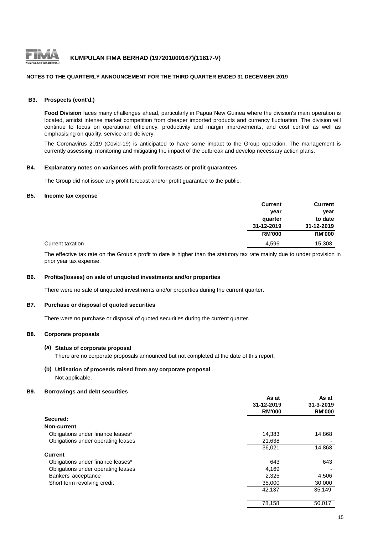

#### **B3. Prospects (cont'd.)**

**Food Division** faces many challenges ahead, particularly in Papua New Guinea where the division's main operation is located, amidst intense market competition from cheaper imported products and currency fluctuation. The division will continue to focus on operational efficiency, productivity and margin improvements, and cost control as well as emphasising on quality, service and delivery.

The Coronavirus 2019 (Covid-19) is anticipated to have some impact to the Group operation. The management is currently assessing, monitoring and mitigating the impact of the outbreak and develop necessary action plans.

#### **B4. Explanatory notes on variances with profit forecasts or profit guarantees**

The Group did not issue any profit forecast and/or profit guarantee to the public.

#### **B5. Income tax expense**

|                  | <b>Current</b> | <b>Current</b> |
|------------------|----------------|----------------|
|                  | year           | year           |
|                  | quarter        | to date        |
|                  | 31-12-2019     | 31-12-2019     |
|                  | <b>RM'000</b>  | <b>RM'000</b>  |
| Current taxation | 4,596          | 15,308         |

The effective tax rate on the Group's profit to date is higher than the statutory tax rate mainly due to under provision in prior year tax expense.

## **B6. Profits/(losses) on sale of unquoted investments and/or properties**

There were no sale of unquoted investments and/or properties during the current quarter.

### **B7. Purchase or disposal of quoted securities**

There were no purchase or disposal of quoted securities during the current quarter.

#### **B8. Corporate proposals**

#### **(a) Status of corporate proposal**

There are no corporate proposals announced but not completed at the date of this report.

## **(b) Utilisation of proceeds raised from any corporate proposal** Not applicable.

#### **B9. Borrowings and debt securities**

|                                    | As at<br>31-12-2019<br><b>RM'000</b> | As at<br>31-3-2019<br><b>RM'000</b> |
|------------------------------------|--------------------------------------|-------------------------------------|
| Secured:                           |                                      |                                     |
| Non-current                        |                                      |                                     |
| Obligations under finance leases*  | 14.383                               | 14,868                              |
| Obligations under operating leases | 21,638                               |                                     |
|                                    | 36,021                               | 14,868                              |
| <b>Current</b>                     |                                      |                                     |
| Obligations under finance leases*  | 643                                  | 643                                 |
| Obligations under operating leases | 4,169                                |                                     |
| Bankers' acceptance                | 2,325                                | 4,506                               |
| Short term revolving credit        | 35,000                               | 30,000                              |
|                                    | 42,137                               | 35,149                              |
|                                    | 78,158                               | 50,017                              |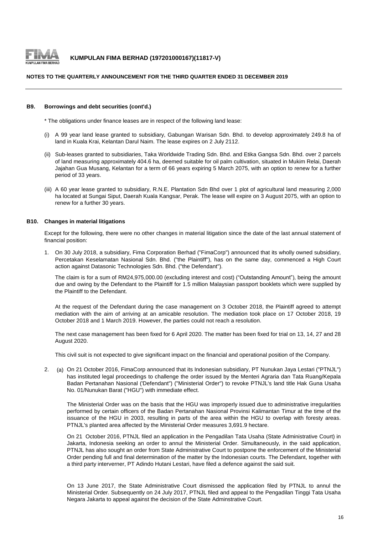

#### **NOTES TO THE QUARTERLY ANNOUNCEMENT FOR THE THIRD QUARTER ENDED 31 DECEMBER 2019**

#### **B9. Borrowings and debt securities (cont'd.)**

\* The obligations under finance leases are in respect of the following land lease:

- (i) A 99 year land lease granted to subsidiary, Gabungan Warisan Sdn. Bhd. to develop approximately 249.8 ha of land in Kuala Krai, Kelantan Darul Naim. The lease expires on 2 July 2112.
- (ii) Sub-leases granted to subsidiaries, Taka Worldwide Trading Sdn. Bhd. and Etika Gangsa Sdn. Bhd. over 2 parcels of land measuring approximately 404.6 ha, deemed suitable for oil palm cultivation, situated in Mukim Relai, Daerah Jajahan Gua Musang, Kelantan for a term of 66 years expiring 5 March 2075, with an option to renew for a further period of 33 years.
- (iii) A 60 year lease granted to subsidiary, R.N.E. Plantation Sdn Bhd over 1 plot of agricultural land measuring 2,000 ha located at Sungai Siput, Daerah Kuala Kangsar, Perak. The lease will expire on 3 August 2075, with an option to renew for a further 30 years.

#### **B10. Changes in material litigations**

Except for the following, there were no other changes in material litigation since the date of the last annual statement of financial position:

1. On 30 July 2018, a subsidiary, Fima Corporation Berhad ("FimaCorp") announced that its wholly owned subsidiary, Percetakan Keselamatan Nasional Sdn. Bhd. ("the Plaintiff"), has on the same day, commenced a High Court action against Datasonic Technologies Sdn. Bhd. ("the Defendant").

The claim is for a sum of RM24,975,000.00 (excluding interest and cost) ("Outstanding Amount"), being the amount due and owing by the Defendant to the Plaintiff for 1.5 million Malaysian passport booklets which were supplied by the Plaintiff to the Defendant.

At the request of the Defendant during the case management on 3 October 2018, the Plaintiff agreed to attempt mediation with the aim of arriving at an amicable resolution. The mediation took place on 17 October 2018, 19 October 2018 and 1 March 2019. However, the parties could not reach a resolution.

The next case management has been fixed for 6 April 2020. The matter has been fixed for trial on 13, 14, 27 and 28 August 2020.

This civil suit is not expected to give significant impact on the financial and operational position of the Company.

2. (a) On 21 October 2016, FimaCorp announced that its Indonesian subsidiary, PT Nunukan Jaya Lestari ("PTNJL") has instituted legal proceedings to challenge the order issued by the Menteri Agraria dan Tata Ruang/Kepala Badan Pertanahan Nasional ('Defendant") ("Ministerial Order") to revoke PTNJL's land title Hak Guna Usaha No. 01/Nunukan Barat ("HGU") with immediate effect.

The Ministerial Order was on the basis that the HGU was improperly issued due to administrative irregularities performed by certain officers of the Badan Pertanahan Nasional Provinsi Kalimantan Timur at the time of the issuance of the HGU in 2003, resulting in parts of the area within the HGU to overlap with foresty areas. PTNJL's planted area affected by the Ministerial Order measures 3,691.9 hectare.

On 21 October 2016, PTNJL filed an application in the Pengadilan Tata Usaha (State Administrative Court) in Jakarta, Indonesia seeking an order to annul the Ministerial Order. Simultaneously, in the said application, PTNJL has also sought an order from State Administrative Court to postpone the enforcement of the Ministerial Order pending full and final determination of the matter by the Indonesian courts. The Defendant, together with a third party interverner, PT Adindo Hutani Lestari, have filed a defence against the said suit.

On 13 June 2017, the State Administrative Court dismissed the application filed by PTNJL to annul the Ministerial Order. Subsequently on 24 July 2017, PTNJL filed and appeal to the Pengadilan Tinggi Tata Usaha Negara Jakarta to appeal against the decision of the State Adminstrative Court.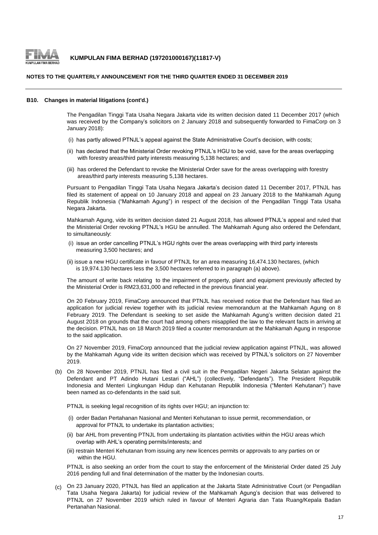

#### **NOTES TO THE QUARTERLY ANNOUNCEMENT FOR THE THIRD QUARTER ENDED 31 DECEMBER 2019**

#### **B10. Changes in material litigations (cont'd.)**

The Pengadilan Tinggi Tata Usaha Negara Jakarta vide its written decision dated 11 December 2017 (which was received by the Company's solicitors on 2 January 2018 and subsequently forwarded to FimaCorp on 3 January 2018):

- (i) has partly allowed PTNJL's appeal against the State Administrative Court's decision, with costs;
- (ii) has declared that the Ministerial Order revoking PTNJL's HGU to be void, save for the areas overlapping with forestry areas/third party interests measuring 5,138 hectares; and
- (iii) has ordered the Defendant to revoke the Ministerial Order save for the areas overlapping with forestry areas/third party interests measuring 5,138 hectares.

Pursuant to Pengadilan Tinggi Tata Usaha Negara Jakarta's decision dated 11 December 2017, PTNJL has filed its statement of appeal on 10 January 2018 and appeal on 23 January 2018 to the Mahkamah Agung Republik Indonesia ("Mahkamah Agung") in respect of the decision of the Pengadilan Tinggi Tata Usaha Negara Jakarta.

Mahkamah Agung, vide its written decision dated 21 August 2018, has allowed PTNJL's appeal and ruled that the Ministerial Order revoking PTNJL's HGU be annulled. The Mahkamah Agung also ordered the Defendant, to simultaneously:

- (i) issue an order cancelling PTNJL's HGU rights over the areas overlapping with third party interests measuring 3,500 hectares; and
- (ii) issue a new HGU certificate in favour of PTNJL for an area measuring 16,474.130 hectares, (which is 19,974.130 hectares less the 3,500 hectares referred to in paragraph (a) above).

The amount of write back relating to the impairment of property, plant and equipment previously affected by the Ministerial Order is RM23,631,000 and reflected in the previous financial year.

On 20 February 2019, FimaCorp announced that PTNJL has received notice that the Defendant has filed an application for judicial review together with its judicial review memorandum at the Mahkamah Agung on 8 February 2019. The Defendant is seeking to set aside the Mahkamah Agung's written decision dated 21 August 2018 on grounds that the court had among others misapplied the law to the relevant facts in arriving at the decision. PTNJL has on 18 March 2019 filed a counter memorandum at the Mahkamah Agung in response to the said application.

On 27 November 2019, FimaCorp announced that the judicial review application against PTNJL, was allowed by the Mahkamah Agung vide its written decision which was received by PTNJL's solicitors on 27 November 2019.

(b) On 28 November 2019, PTNJL has filed a civil suit in the Pengadilan Negeri Jakarta Selatan against the Defendant and PT Adindo Hutani Lestari ("AHL") (collectively, "Defendants"). The President Republik Indonesia and Menteri Lingkungan Hidup dan Kehutanan Republik Indonesia ("Menteri Kehutanan") have been named as co-defendants in the said suit.

PTNJL is seeking legal recognition of its rights over HGU; an injunction to:

- (i) order Badan Pertahanan Nasional and Menteri Kehutanan to issue permit, recommendation, or approval for PTNJL to undertake its plantation activities;
- (ii) bar AHL from preventing PTNJL from undertaking its plantation activities within the HGU areas which overlap with AHL's operating permits/interests; and
- (iii) restrain Menteri Kehutanan from issuing any new licences permits or approvals to any parties on or within the HGU.

PTNJL is also seeking an order from the court to stay the enforcement of the Ministerial Order dated 25 July 2016 pending full and final determination of the matter by the Indonesian courts.

(<sub>C</sub>) On 23 January 2020, PTNJL has filed an application at the Jakarta State Administrative Court (or Pengadilan Tata Usaha Negara Jakarta) for judicial review of the Mahkamah Agung's decision that was delivered to PTNJL on 27 November 2019 which ruled in favour of Menteri Agraria dan Tata Ruang/Kepala Badan Pertanahan Nasional.